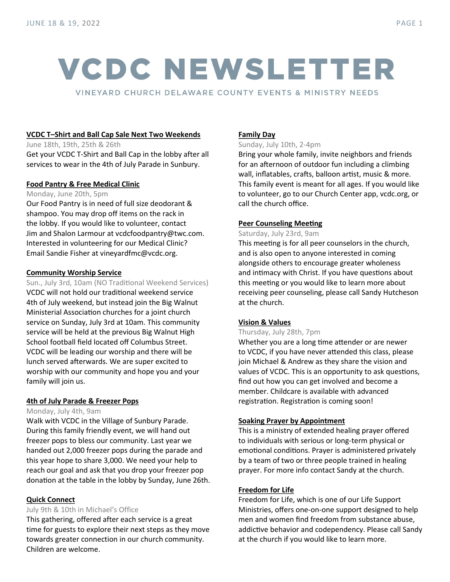# **VCDC NEWSLETTER**

VINEYARD CHURCH DELAWARE COUNTY EVENTS & MINISTRY NEEDS

# **VCDC T–Shirt and Ball Cap Sale Next Two Weekends**

June 18th, 19th, 25th & 26th Get your VCDC T-Shirt and Ball Cap in the lobby after all services to wear in the 4th of July Parade in Sunbury.

# **Food Pantry & Free Medical Clinic**

#### Monday, June 20th, 5pm

Our Food Pantry is in need of full size deodorant & shampoo. You may drop off items on the rack in the lobby. If you would like to volunteer, contact Jim and Shalon Larmour at vcdcfoodpantry@twc.com. Interested in volunteering for our Medical Clinic? Email Sandie Fisher at vineyardfmc@vcdc.org.

# **Community Worship Service**

Sun., July 3rd, 10am (NO Traditional Weekend Services) VCDC will not hold our traditional weekend service 4th of July weekend, but instead join the Big Walnut Ministerial Association churches for a joint church service on Sunday, July 3rd at 10am. This community service will be held at the previous Big Walnut High School football field located off Columbus Street. VCDC will be leading our worship and there will be lunch served afterwards. We are super excited to worship with our community and hope you and your family will join us.

#### **4th of July Parade & Freezer Pops**

#### Monday, July 4th, 9am

Walk with VCDC in the Village of Sunbury Parade. During this family friendly event, we will hand out freezer pops to bless our community. Last year we handed out 2,000 freezer pops during the parade and this year hope to share 3,000. We need your help to reach our goal and ask that you drop your freezer pop donation at the table in the lobby by Sunday, June 26th.

#### **Quick Connect**

#### July 9th & 10th in Michael's Office

This gathering, offered after each service is a great time for guests to explore their next steps as they move towards greater connection in our church community. Children are welcome.

# **Family Day**

Sunday, July 10th, 2-4pm

Bring your whole family, invite neighbors and friends for an afternoon of outdoor fun including a climbing wall, inflatables, crafts, balloon artist, music & more. This family event is meant for all ages. If you would like to volunteer, go to our Church Center app, vcdc.org, or call the church office.

# **Peer Counseling Meeting**

#### Saturday, July 23rd, 9am

This meeting is for all peer counselors in the church, and is also open to anyone interested in coming alongside others to encourage greater wholeness and intimacy with Christ. If you have questions about this meeting or you would like to learn more about receiving peer counseling, please call Sandy Hutcheson at the church.

#### **Vision & Values**

# Thursday, July 28th, 7pm

Whether you are a long time attender or are newer to VCDC, if you have never attended this class, please join Michael & Andrew as they share the vision and values of VCDC. This is an opportunity to ask questions, find out how you can get involved and become a member. Childcare is available with advanced registration. Registration is coming soon!

#### **Soaking Prayer by Appointment**

This is a ministry of extended healing prayer offered to individuals with serious or long-term physical or emotional conditions. Prayer is administered privately by a team of two or three people trained in healing prayer. For more info contact Sandy at the church.

# **Freedom for Life**

Freedom for Life, which is one of our Life Support Ministries, offers one-on-one support designed to help men and women find freedom from substance abuse, addictive behavior and codependency. Please call Sandy at the church if you would like to learn more.